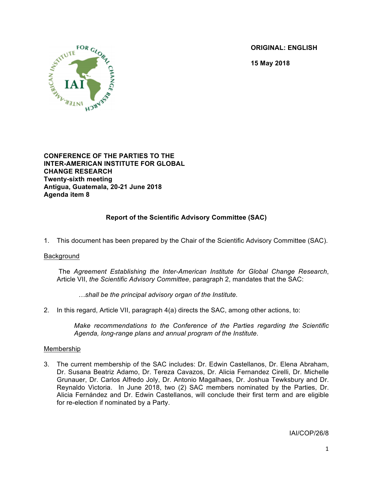**ORIGINAL: ENGLISH**

**15 May 2018**



**CONFERENCE OF THE PARTIES TO THE INTER-AMERICAN INSTITUTE FOR GLOBAL CHANGE RESEARCH Twenty-sixth meeting Antigua, Guatemala, 20-21 June 2018 Agenda item 8**

# **Report of the Scientific Advisory Committee (SAC)**

1. This document has been prepared by the Chair of the Scientific Advisory Committee (SAC).

#### Background

The *Agreement Establishing the Inter-American Institute for Global Change Research*, Article VII, *the Scientific Advisory Committee*, paragraph 2, mandates that the SAC:

*…shall be the principal advisory organ of the Institute.*

2. In this regard, Article VII, paragraph 4(a) directs the SAC, among other actions, to:

*Make recommendations to the Conference of the Parties regarding the Scientific Agenda, long-range plans and annual program of the Institute*.

### Membership

3. The current membership of the SAC includes: Dr. Edwin Castellanos, Dr. Elena Abraham, Dr. Susana Beatriz Adamo, Dr. Tereza Cavazos, Dr. Alicia Fernandez Cirelli, Dr. Michelle Grunauer, Dr. Carlos Alfredo Joly, Dr. Antonio Magalhaes, Dr. Joshua Tewksbury and Dr. Reynaldo Victoria. In June 2018, two (2) SAC members nominated by the Parties, Dr. Alicia Fernández and Dr. Edwin Castellanos, will conclude their first term and are eligible for re-election if nominated by a Party.

IAI/COP/26/8